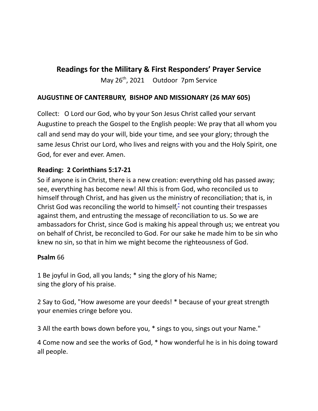# **Readings for the Military & First Responders' Prayer Service**

May 26<sup>th</sup>, 2021 Outdoor 7pm Service

## **AUGUSTINE OF CANTERBURY, BISHOP AND MISSIONARY (26 MAY 605)**

Collect: O Lord our God, who by your Son Jesus Christ called your servant Augustine to preach the Gospel to the English people: We pray that all whom you call and send may do your will, bide your time, and see your glory; through the same Jesus Christ our Lord, who lives and reigns with you and the Holy Spirit, one God, for ever and ever. Amen.

### **Reading: 2 Corinthians 5:17-21**

So if anyone is in Christ, there is a new creation: everything old has passed away; see, everything has become new! All this is from God, who reconciled us to himself through Christ, and has given us the ministry of reconciliation; that is, in Christ God was reconciling the world to himself, \* not counting their trespasses against them, and entrusting the message of reconciliation to us. So we are ambassadors for Christ, since God is making his appeal through us; we entreat you on behalf of Christ, be reconciled to God. For our sake he made him to be sin who knew no sin, so that in him we might become the righteousness of God.

### **Psalm** 66

1 Be joyful in God, all you lands; \* sing the glory of his Name; sing the glory of his praise.

2 Say to God, "How awesome are your deeds! \* because of your great strength your enemies cringe before you.

3 All the earth bows down before you, \* sings to you, sings out your Name."

4 Come now and see the works of God, \* how wonderful he is in his doing toward all people.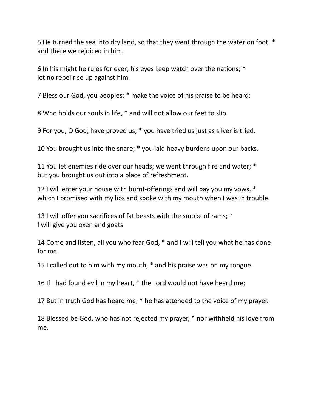He turned the sea into dry land, so that they went through the water on foot, \* and there we rejoiced in him.

 In his might he rules for ever; his eyes keep watch over the nations; \* let no rebel rise up against him.

Bless our God, you peoples; \* make the voice of his praise to be heard;

Who holds our souls in life, \* and will not allow our feet to slip.

For you, O God, have proved us; \* you have tried us just as silver is tried.

You brought us into the snare; \* you laid heavy burdens upon our backs.

 You let enemies ride over our heads; we went through fire and water; \* but you brought us out into a place of refreshment.

 I will enter your house with burnt-offerings and will pay you my vows, \* which I promised with my lips and spoke with my mouth when I was in trouble.

 I will offer you sacrifices of fat beasts with the smoke of rams; \* I will give you oxen and goats.

 Come and listen, all you who fear God, \* and I will tell you what he has done for me.

I called out to him with my mouth, \* and his praise was on my tongue.

If I had found evil in my heart, \* the Lord would not have heard me;

But in truth God has heard me; \* he has attended to the voice of my prayer.

 Blessed be God, who has not rejected my prayer, \* nor withheld his love from me.